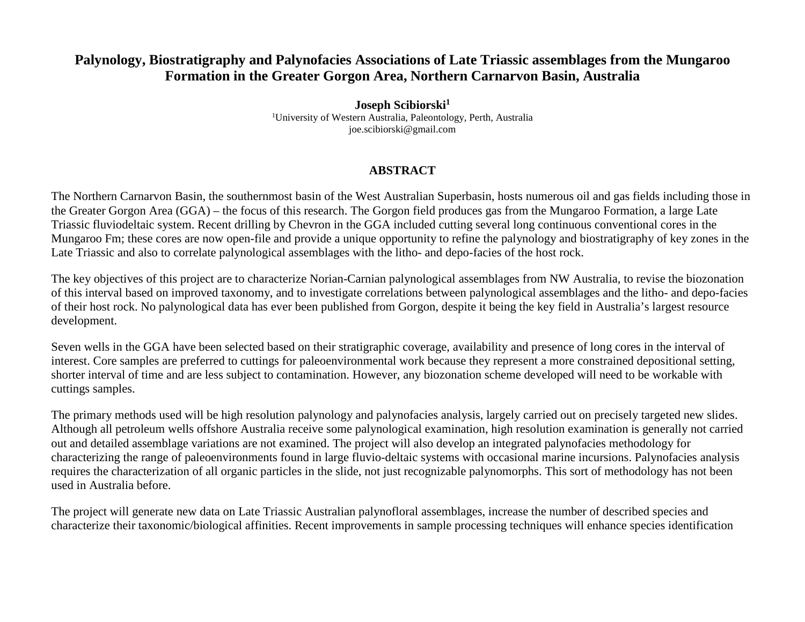## **Palynology, Biostratigraphy and Palynofacies Associations of Late Triassic assemblages from the Mungaroo Formation in the Greater Gorgon Area, Northern Carnarvon Basin, Australia**

**Joseph Scibiorski1** 1 University of Western Australia, Paleontology, Perth, Australia joe.scibiorski@gmail.com

## **ABSTRACT**

The Northern Carnarvon Basin, the southernmost basin of the West Australian Superbasin, hosts numerous oil and gas fields including those in the Greater Gorgon Area (GGA) – the focus of this research. The Gorgon field produces gas from the Mungaroo Formation, a large Late Triassic fluviodeltaic system. Recent drilling by Chevron in the GGA included cutting several long continuous conventional cores in the Mungaroo Fm; these cores are now open-file and provide a unique opportunity to refine the palynology and biostratigraphy of key zones in the Late Triassic and also to correlate palynological assemblages with the litho- and depo-facies of the host rock.

The key objectives of this project are to characterize Norian-Carnian palynological assemblages from NW Australia, to revise the biozonation of this interval based on improved taxonomy, and to investigate correlations between palynological assemblages and the litho- and depo-facies of their host rock. No palynological data has ever been published from Gorgon, despite it being the key field in Australia's largest resource development.

Seven wells in the GGA have been selected based on their stratigraphic coverage, availability and presence of long cores in the interval of interest. Core samples are preferred to cuttings for paleoenvironmental work because they represent a more constrained depositional setting, shorter interval of time and are less subject to contamination. However, any biozonation scheme developed will need to be workable with cuttings samples.

The primary methods used will be high resolution palynology and palynofacies analysis, largely carried out on precisely targeted new slides. Although all petroleum wells offshore Australia receive some palynological examination, high resolution examination is generally not carried out and detailed assemblage variations are not examined. The project will also develop an integrated palynofacies methodology for characterizing the range of paleoenvironments found in large fluvio-deltaic systems with occasional marine incursions. Palynofacies analysis requires the characterization of all organic particles in the slide, not just recognizable palynomorphs. This sort of methodology has not been used in Australia before.

The project will generate new data on Late Triassic Australian palynofloral assemblages, increase the number of described species and characterize their taxonomic/biological affinities. Recent improvements in sample processing techniques will enhance species identification